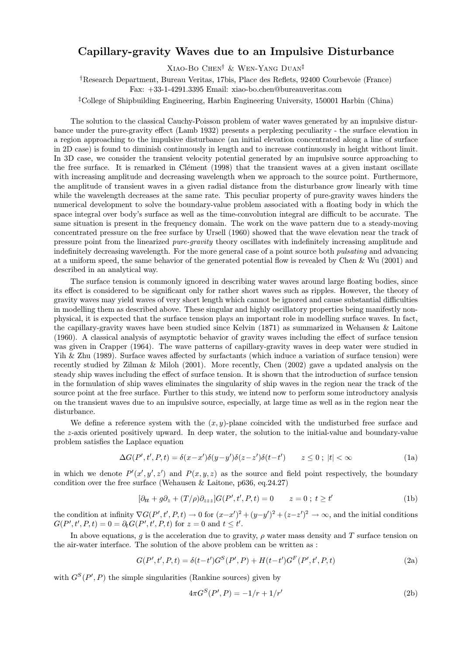## Capillary-gravity Waves due to an Impulsive Disturbance

XIAO-BO CHEN<sup>†</sup> & WEN-YANG DUAN<sup>‡</sup>

<sup>†</sup>Research Department, Bureau Veritas, 17bis, Place des Reflets, 92400 Courbevoie (France) Fax: +33-1-4291.3395 Email: xiao-bo.chen@bureauveritas.com

<sup>‡</sup>College of Shipbuilding Engineering, Harbin Engineering University, 150001 Harbin (China)

The solution to the classical Cauchy-Poisson problem of water waves generated by an impulsive disturbance under the pure-gravity effect (Lamb 1932) presents a perplexing peculiarity - the surface elevation in a region approaching to the impulsive disturbance (an initial elevation concentrated along a line of surface in 2D case) is found to diminish continuously in length and to increase continuously in height without limit. In 3D case, we consider the transient velocity potential generated by an impulsive source approaching to the free surface. It is remarked in Clément (1998) that the transient waves at a given instant oscillate with increasing amplitude and decreasing wavelength when we approach to the source point. Furthermore, the amplitude of transient waves in a given radial distance from the disturbance grow linearly with time while the wavelength decreases at the same rate. This peculiar property of pure-gravity waves hinders the numerical development to solve the boundary-value problem associated with a floating body in which the space integral over body's surface as well as the time-convolution integral are difficult to be accurate. The same situation is present in the frequency domain. The work on the wave pattern due to a steady-moving concentrated pressure on the free surface by Ursell (1960) showed that the wave elevation near the track of pressure point from the linearized *pure-gravity* theory oscillates with indefinitely increasing amplitude and indefinitely decreasing wavelength. For the more general case of a point source both *pulsating* and advancing at a uniform speed, the same behavior of the generated potential flow is revealed by Chen & Wu  $(2001)$  and described in an analytical way.

The surface tension is commonly ignored in describing water waves around large floating bodies, since its effect is considered to be significant only for rather short waves such as ripples. However, the theory of gravity waves may yield waves of very short length which cannot be ignored and cause substantial difficulties in modelling them as described above. These singular and highly oscillatory properties being manifestly nonphysical, it is expected that the surface tension plays an important role in modelling surface waves. In fact, the capillary-gravity waves have been studied since Kelvin (1871) as summarized in Wehausen & Laitone (1960). A classical analysis of asymptotic behavior of gravity waves including the effect of surface tension was given in Crapper (1964). The wave patterns of capillary-gravity waves in deep water were studied in Yih & Zhu (1989). Surface waves affected by surfactants (which induce a variation of surface tension) were recently studied by Zilman & Miloh (2001). More recently, Chen (2002) gave a updated analysis on the steady ship waves including the effect of surface tension. It is shown that the introduction of surface tension in the formulation of ship waves eliminates the singularity of ship waves in the region near the track of the source point at the free surface. Further to this study, we intend now to perform some introductory analysis on the transient waves due to an impulsive source, especially, at large time as well as in the region near the disturbance.

We define a reference system with the  $(x, y)$ -plane coincided with the undisturbed free surface and the z-axis oriented positively upward. In deep water, the solution to the initial-value and boundary-value problem satisfies the Laplace equation

$$
\Delta G(P', t', P, t) = \delta(x - x')\delta(y - y')\delta(z - z')\delta(t - t') \qquad z \le 0 \; ; \; |t| < \infty \tag{1a}
$$

in which we denote  $P'(x', y', z')$  and  $P(x, y, z)$  as the source and field point respectively, the boundary condition over the free surface (Wehausen & Laitone,  $p636$ , eq. 24.27)

$$
[\partial_{tt} + g\partial_z + (T/\rho)\partial_{zzz}]G(P', t', P, t) = 0 \qquad z = 0 \; ; \; t \ge t'
$$
 (1b)

the condition at infinity  $\nabla G(P', t', P, t) \to 0$  for  $(x-x')^2 + (y-y')^2 + (z-z')^2 \to \infty$ , and the initial conditions  $G(P', t', P, t) = 0 = \partial_t G(P', t', P, t)$  for  $z = 0$  and  $t \leq t'$ .

In above equations, q is the acceleration due to gravity,  $\rho$  water mass density and T surface tension on the air-water interface. The solution of the above problem can be written as :

$$
G(P', t', P, t) = \delta(t - t')G^{S}(P', P) + H(t - t')G^{F}(P', t', P, t)
$$
\n(2a)

with  $G^{S}(P', P)$  the simple singularities (Rankine sources) given by

$$
4\pi G^S(P', P) = -1/r + 1/r'
$$
\n(2b)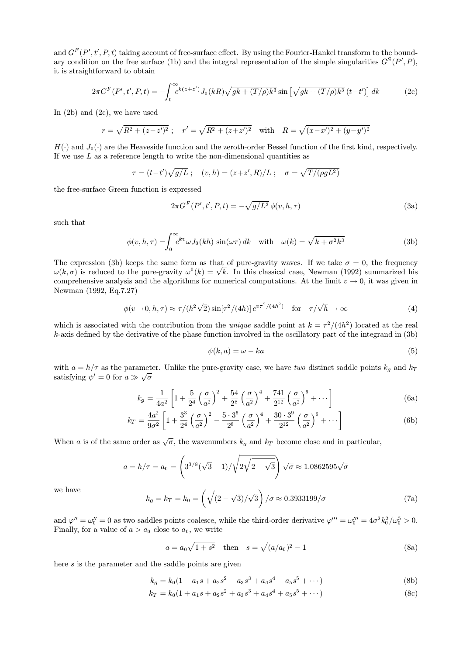and  $G^F(P', t', P, t)$  taking account of free-surface effect. By using the Fourier-Hankel transform to the boundary condition on the free surface (1b) and the integral representation of the simple singularities  $G^{S}(P', P)$ , it is straightforward to obtain

$$
2\pi G^{F}(P',t',P,t) = -\int_{0}^{\infty} e^{k(z+z')} J_{0}(kR) \sqrt{gk + (T/\rho)k^{3}} \sin\left[\sqrt{gk + (T/\rho)k^{3}} (t-t')\right] dk
$$
 (2c)

In  $(2b)$  and  $(2c)$ , we have used

$$
r = \sqrt{R^2 + (z - z')^2}
$$
;  $r' = \sqrt{R^2 + (z + z')^2}$  with  $R = \sqrt{(x - x')^2 + (y - y')^2}$ 

 $H(\cdot)$  and  $J_0(\cdot)$  are the Heaveside function and the zeroth-order Bessel function of the first kind, respectively. If we use  $L$  as a reference length to write the non-dimensional quantities as

$$
\tau = (t-t')\sqrt{g/L}
$$
;  $(v,h) = (z+z',R)/L$ ;  $\sigma = \sqrt{T/(\rho g L^2)}$ 

the free-surface Green function is expressed

$$
2\pi G^F(P',t',P,t) = -\sqrt{g/L^3}\,\phi(v,h,\tau)
$$
\n(3a)

such that

$$
\phi(v, h, \tau) = \int_0^\infty e^{kv} \omega J_0(kh) \sin(\omega \tau) dk \quad \text{with} \quad \omega(k) = \sqrt{k + \sigma^2 k^3}
$$
 (3b)

The expression (3b) keeps the same form as that of pure-gravity waves. If we take  $\sigma = 0$ , the frequency  $\omega(k,\sigma)$  is reduced to the pure-gravity  $\omega^0(k) = \sqrt{k}$ . In this classical case, Newman (1992) summarized his comprehensive analysis and the algorithms for numerical computations. At the limit  $v \to 0$ , it was given in Newman (1992, Eq.7.27)

$$
\phi(v \to 0, h, \tau) \approx \tau / (h^2 \sqrt{2}) \sin[\tau^2 / (4h)] e^{v \tau^2 / (4h^2)} \quad \text{for} \quad \tau / \sqrt{h} \to \infty
$$
 (4)

which is associated with the contribution from the *unique* saddle point at  $k = \tau^2/(4h^2)$  located at the real  $k$ -axis defined by the derivative of the phase function involved in the oscillatory part of the integrand in  $(3b)$ 

$$
\psi(k, a) = \omega - ka \tag{5}
$$

with  $a = h/\tau$  as the parameter. Unlike the pure-gravity case, we have two distinct saddle points  $k_q$  and  $k_T$ satisfying  $\psi' = 0$  for  $a \gg \sqrt{\sigma}$ 

$$
k_g = \frac{1}{4a^2} \left[ 1 + \frac{5}{2^4} \left( \frac{\sigma}{a^2} \right)^2 + \frac{54}{2^8} \left( \frac{\sigma}{a^2} \right)^4 + \frac{741}{2^{12}} \left( \frac{\sigma}{a^2} \right)^6 + \cdots \right]
$$
(6a)

$$
k_T = \frac{4a^2}{9\sigma^2} \left[ 1 + \frac{3^3}{2^4} \left( \frac{\sigma}{a^2} \right)^2 - \frac{5 \cdot 3^6}{2^8} \left( \frac{\sigma}{a^2} \right)^4 + \frac{30 \cdot 3^9}{2^{12}} \left( \frac{\sigma}{a^2} \right)^6 + \cdots \right]
$$
(6b)

When a is of the same order as  $\sqrt{\sigma}$ , the wavenumbers  $k_g$  and  $k_T$  become close and in particular,

$$
a = h/\tau = a_0 = \left(3^{3/8}(\sqrt{3}-1)/\sqrt{2\sqrt{2-\sqrt{3}}}\right)\sqrt{\sigma} \approx 1.0862595\sqrt{\sigma}
$$

we have

$$
k_g = k_T = k_0 = \left(\sqrt{(2-\sqrt{3})/\sqrt{3}}\right) / \sigma \approx 0.3933199 / \sigma \tag{7a}
$$

and  $\varphi'' = \omega_0'' = 0$  as two saddles points coalesce, while the third-order derivative  $\varphi''' = \omega_0''' = 4\sigma^2 k_0^2/\omega_0^5 > 0$ . Finally, for a value of  $a > a_0$  close to  $a_0$ , we write

$$
a = a_0 \sqrt{1 + s^2} \quad \text{then} \quad s = \sqrt{(a/a_0)^2 - 1} \tag{8a}
$$

here  $s$  is the parameter and the saddle points are given

$$
k_a = k_0(1 - a_1s + a_2s^2 - a_3s^3 + a_4s^4 - a_5s^5 + \cdots)
$$
 (8b)

$$
k_T = k_0(1 + a_1s + a_2s^2 + a_3s^3 + a_4s^4 + a_5s^5 + \cdots)
$$
\n(8c)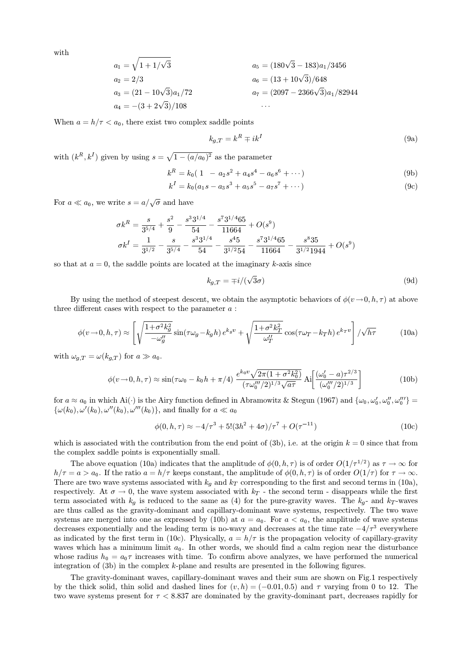with

$$
a_1 = \sqrt{1 + 1/\sqrt{3}}
$$
  
\n
$$
a_2 = 2/3
$$
  
\n
$$
a_3 = (21 - 10\sqrt{3})a_1/72
$$
  
\n
$$
a_4 = -(3 + 2\sqrt{3})/108
$$
  
\n
$$
a_5 = (180\sqrt{3} - 183)a_1/3456
$$
  
\n
$$
a_6 = (13 + 10\sqrt{3})/648
$$
  
\n
$$
a_7 = (2097 - 2366\sqrt{3})a_1/82944
$$
  
\n...

When  $a = h/\tau < a_0$ , there exist two complex saddle points

$$
k_{g,T} = k^R \mp ik^I \tag{9a}
$$

with  $(k^R, k^I)$  given by using  $s = \sqrt{1 - (a/a_0)^2}$  as the parameter

$$
k^R = k_0(1 - a_2s^2 + a_4s^4 - a_6s^6 + \cdots)
$$
 (9b)

$$
k^{I} = k_{0}(a_{1}s - a_{3}s^{3} + a_{5}s^{5} - a_{7}s^{7} + \cdots)
$$
\n(9c)

For  $a \ll a_0$ , we write  $s = a/\sqrt{\sigma}$  and have

$$
\sigma k^R = \frac{s}{3^{5/4}} + \frac{s^2}{9} - \frac{s^3 3^{1/4}}{54} - \frac{s^7 3^{1/4} 65}{11664} + O(s^9)
$$
  

$$
\sigma k^I = \frac{1}{3^{1/2}} - \frac{s}{3^{5/4}} - \frac{s^3 3^{1/4}}{54} - \frac{s^4 5}{3^{1/2} 54} - \frac{s^7 3^{1/4} 65}{11664} - \frac{s^8 35}{3^{1/2} 1944} + O(s^9)
$$

so that at  $a = 0$ , the saddle points are located at the imaginary k-axis since

$$
k_{g,T} = \mp i/(\sqrt{3}\sigma) \tag{9d}
$$

By using the method of steepest descent, we obtain the asymptotic behaviors of  $\phi(v \to 0, h, \tau)$  at above three different cases with respect to the parameter  $a$ :

$$
\phi(v \to 0, h, \tau) \approx \left[ \sqrt{\frac{1 + \sigma^2 k_g^2}{-\omega_g^{\prime\prime}}} \sin(\tau \omega_g - k_g h) e^{k_g v} + \sqrt{\frac{1 + \sigma^2 k_T^2}{\omega_T^{\prime\prime}}} \cos(\tau \omega_T - k_T h) e^{k_T v} \right] / \sqrt{h \tau}
$$
(10a)

with  $\omega_{a} T = \omega(k_{a} T)$  for  $a \gg a_0$ .

$$
\phi(v \to 0, h, \tau) \approx \sin(\tau \omega_0 - k_0 h + \pi/4) \frac{e^{k_0 v} \sqrt{2\pi (1 + \sigma^2 k_0^2)}}{(\tau \omega_0'''/2)^{1/3} \sqrt{a\tau}} \text{Ai}\left[\frac{(\omega_0' - a)\tau^{2/3}}{(\omega_0'''/2)^{1/3}}\right]
$$
(10b)

for  $a \approx a_0$  in which Ai(·) is the Airy function defined in Abramowitz & Stegun (1967) and  $\{\omega_0, \omega'_0, \omega''_0, \omega''_0\}$  $\{\omega(k_0), \omega'(k_0), \omega''(k_0), \omega'''(k_0)\}\$ , and finally for  $a \ll a_0$ 

$$
\phi(0, h, \tau) \approx -4/\tau^3 + 5!(3h^2 + 4\sigma)/\tau^7 + O(\tau^{-11})
$$
\n(10c)

which is associated with the contribution from the end point of (3b), i.e. at the origin  $k = 0$  since that from the complex saddle points is exponentially small.

The above equation (10a) indicates that the amplitude of  $\phi(0, h, \tau)$  is of order  $O(1/\tau^{1/2})$  as  $\tau \to \infty$  for  $h/\tau = a > a_0$ . If the ratio  $a = h/\tau$  keeps constant, the amplitude of  $\phi(0, h, \tau)$  is of order  $O(1/\tau)$  for  $\tau \to \infty$ . There are two wave systems associated with  $k_q$  and  $k_T$  corresponding to the first and second terms in (10a), respectively. At  $\sigma \to 0$ , the wave system associated with  $k_T$  - the second term - disappears while the first term associated with  $k_q$  is reduced to the same as (4) for the pure-gravity waves. The  $k_q$ - and  $k_T$ -waves are thus called as the gravity-dominant and capillary-dominant wave systems, respectively. The two wave systems are merged into one as expressed by (10b) at  $a = a_0$ . For  $a < a_0$ , the amplitude of wave systems decreases exponentially and the leading term is no-wavy and decreases at the time rate  $-4/\tau^3$  everywhere as indicated by the first term in (10c). Physically,  $a = h/\tau$  is the propagation velocity of capillary-gravity waves which has a minimum limit  $a_0$ . In other words, we should find a calm region near the disturbance whose radius  $h_0 = a_0 \tau$  increases with time. To confirm above analyzes, we have performed the numerical integration of (3b) in the complex k-plane and results are presented in the following figures.

The gravity-dominant waves, capillary-dominant waves and their sum are shown on Fig.1 respectively by the thick solid, thin solid and dashed lines for  $(v, h) = (-0.01, 0.5)$  and  $\tau$  varying from 0 to 12. The two wave systems present for  $\tau < 8.837$  are dominated by the gravity-dominant part, decreases rapidly for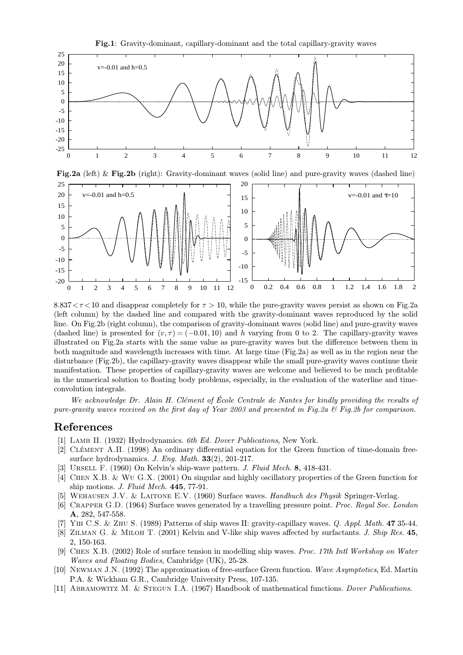

 $8.837 < \tau < 10$  and disappear completely for  $\tau > 10$ , while the pure-gravity waves persist as shown on Fig.2a (left column) by the dashed line and compared with the gravity-dominant waves reproduced by the solid line. On Fig.2b (right column), the comparison of gravity-dominant waves (solid line) and pure-gravity waves (dashed line) is presented for  $(v, \tau) = (-0.01, 10)$  and h varying from 0 to 2. The capillary-gravity waves illustrated on Fig.2a starts with the same value as pure-gravity waves but the difference between them in both magnitude and wavelength increases with time. At large time (Fig.2a) as well as in the region near the disturbance (Fig.2b), the capillary-gravity waves disappear while the small pure-gravity waves continue their manifestation. These properties of capillary-gravity waves are welcome and believed to be much profitable in the numerical solution to floating body problems, especially, in the evaluation of the waterline and timeconvolution integrals.

We acknowledge Dr. Alain H. Clément of École Centrale de Nantes for kindly providing the results of pure-gravity waves received on the first day of Year 2003 and presented in Fig.2a  $\mathcal{B}$  Fig.2b for comparison.

## References

- [1] LAMB H. (1932) Hydrodynamics. 6th Ed. Dover Publications, New York.
- [2] CLÉMENT A.H. (1998) An ordinary differential equation for the Green function of time-domain freesurface hydrodynamics. J. Eng. Math.  $33(2)$ , 201-217.
- [3] URSELL F. (1960) On Kelvin's ship-wave pattern. J. Fluid Mech. 8, 418-431.
- [4] CHEN X.B. & WU G.X. (2001) On singular and highly oscillatory properties of the Green function for ship motions. J. Fluid Mech. 445, 77-91.
- [5] WEHAUSEN J.V. & LAITONE E.V. (1960) Surface waves. Handbuch des Physik Springer-Verlag.
- [6] CRAPPER G.D. (1964) Surface waves generated by a travelling pressure point. Proc. Royal Soc. London A, 282, 547-558.
- YIH C.S. & ZHU S. (1989) Patterns of ship waves II: gravity-capillary waves. Q. Appl. Math. 47 35-44.
- [8] ZILMAN G. & MILOH T. (2001) Kelvin and V-like ship waves affected by surfactants. J. Ship Res. 45, 2, 150-163.
- [9] CHEN X.B. (2002) Role of surface tension in modelling ship waves. Proc. 17th Intl Workshop on Water *Waves and Floating Bodies*, Cambridge (UK), 25-28.
- [10] NEWMAN J.N. (1992) The approximation of free-surface Green function. Wave Asymptotics, Ed. Martin P.A. & Wickham G.R., Cambridge University Press, 107-135.
- [11] ABRAMOWITZ M. & STEGUN I.A. (1967) Handbook of mathematical functions. *Dover Publications*.